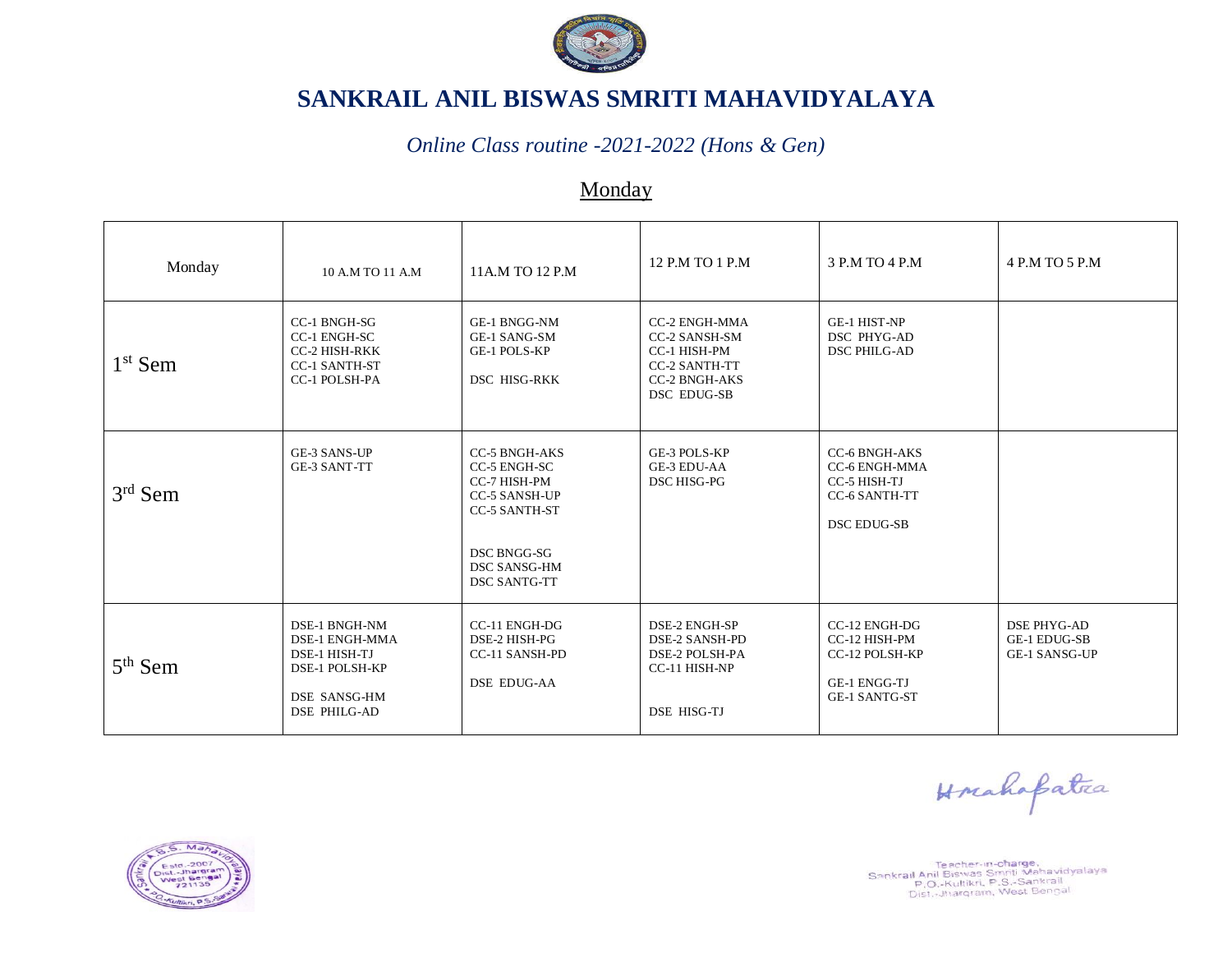

#### *Online Class routine -2021-2022 (Hons & Gen)*

### Monday

| Monday    | 10 A.M TO 11 A.M                                                                                                        | 11A.M TO 12 P.M                                                                                                                                                   | 12 P.M TO 1 P.M                                                                                                             | 3 P.M TO 4 P.M                                                                                      | 4 P.M TO 5 P.M                                                    |
|-----------|-------------------------------------------------------------------------------------------------------------------------|-------------------------------------------------------------------------------------------------------------------------------------------------------------------|-----------------------------------------------------------------------------------------------------------------------------|-----------------------------------------------------------------------------------------------------|-------------------------------------------------------------------|
| $1st$ Sem | CC-1 BNGH-SG<br>CC-1 ENGH-SC<br><b>CC-2 HISH-RKK</b><br><b>CC-1 SANTH-ST</b><br><b>CC-1 POLSH-PA</b>                    | GE-1 BNGG-NM<br><b>GE-1 SANG-SM</b><br><b>GE-1 POLS-KP</b><br>DSC HISG-RKK                                                                                        | <b>CC-2 ENGH-MMA</b><br><b>CC-2 SANSH-SM</b><br>CC-1 HISH-PM<br><b>CC-2 SANTH-TT</b><br><b>CC-2 BNGH-AKS</b><br>DSC EDUG-SB | <b>GE-1 HIST-NP</b><br>DSC PHYG-AD<br><b>DSC PHILG-AD</b>                                           |                                                                   |
| $3rd$ Sem | <b>GE-3 SANS-UP</b><br><b>GE-3 SANT-TT</b>                                                                              | <b>CC-5 BNGH-AKS</b><br>CC-5 ENGH-SC<br>CC-7 HISH-PM<br><b>CC-5 SANSH-UP</b><br><b>CC-5 SANTH-ST</b><br>DSC BNGG-SG<br><b>DSC SANSG-HM</b><br><b>DSC SANTG-TT</b> | GE-3 POLS-KP<br><b>GE-3 EDU-AA</b><br>DSC HISG-PG                                                                           | <b>CC-6 BNGH-AKS</b><br>CC-6 ENGH-MMA<br>CC-5 HISH-TJ<br><b>CC-6 SANTH-TT</b><br><b>DSC EDUG-SB</b> |                                                                   |
| $5th$ Sem | DSE-1 BNGH-NM<br><b>DSE-1 ENGH-MMA</b><br>DSE-1 HISH-TJ<br>DSE-1 POLSH-KP<br><b>DSE SANSG-HM</b><br><b>DSE PHILG-AD</b> | CC-11 ENGH-DG<br>DSE-2 HISH-PG<br>CC-11 SANSH-PD<br><b>DSE EDUG-AA</b>                                                                                            | DSE-2 ENGH-SP<br><b>DSE-2 SANSH-PD</b><br>DSE-2 POLSH-PA<br>CC-11 HISH-NP<br>DSE HISG-TJ                                    | CC-12 ENGH-DG<br>CC-12 HISH-PM<br>CC-12 POLSH-KP<br><b>GE-1 ENGG-TJ</b><br><b>GE-1 SANTG-ST</b>     | <b>DSE PHYG-AD</b><br><b>GE-1 EDUG-SB</b><br><b>GE-1 SANSG-UP</b> |

Horahapatra



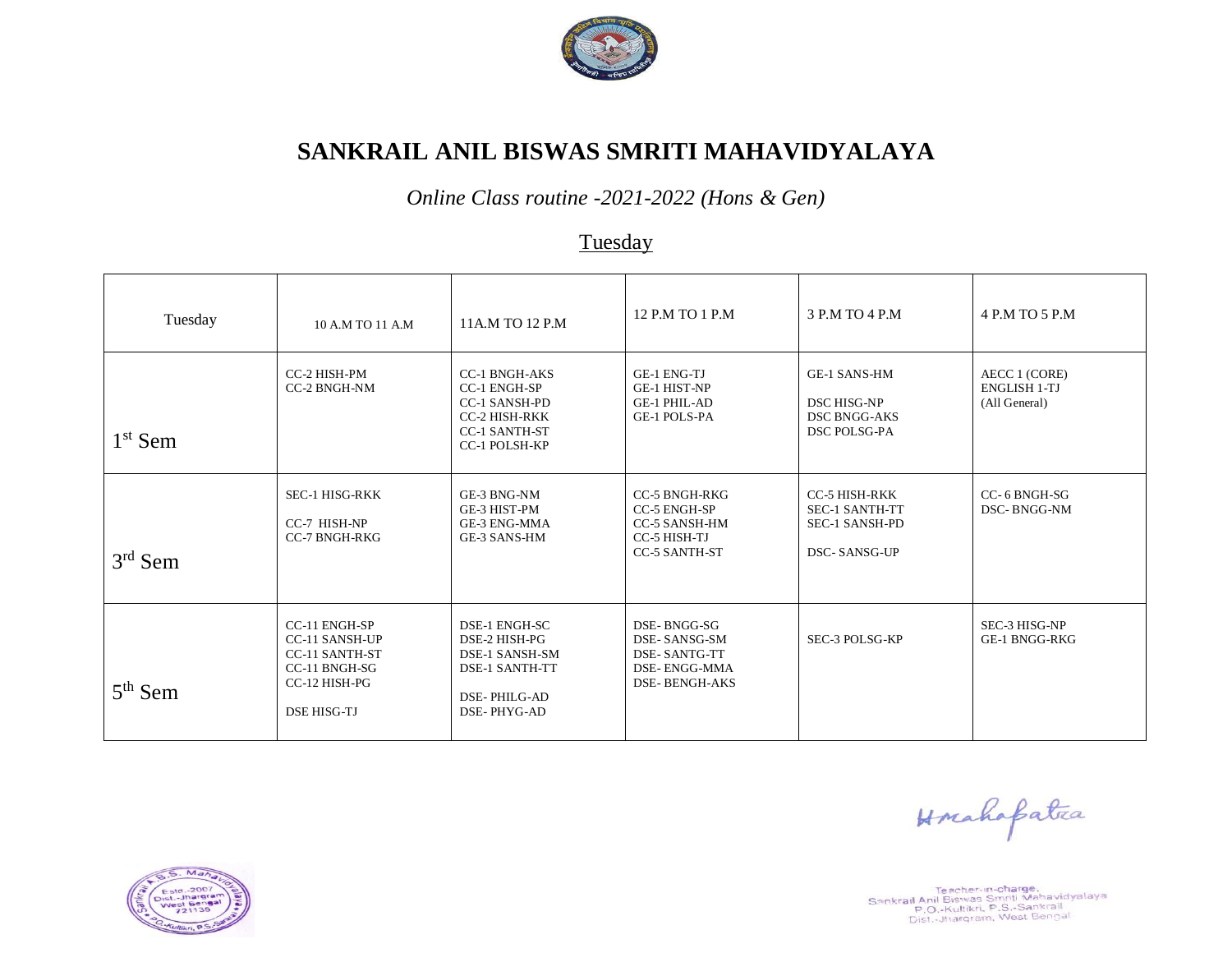

*Online Class routine -2021-2022 (Hons & Gen)*

# **Tuesday**

| Tuesday   | 10 A.M TO 11 A.M                                                                                                               | 11A.M TO 12 P.M                                                                                                                             | 12 P.M TO 1 P.M                                                                                             | 3 P.M TO 4 P.M                                                                                | 4 P.M TO 5 P.M                                        |
|-----------|--------------------------------------------------------------------------------------------------------------------------------|---------------------------------------------------------------------------------------------------------------------------------------------|-------------------------------------------------------------------------------------------------------------|-----------------------------------------------------------------------------------------------|-------------------------------------------------------|
| $1st$ Sem | CC-2 HISH-PM<br><b>CC-2 BNGH-NM</b>                                                                                            | <b>CC-1 BNGH-AKS</b><br><b>CC-1 ENGH-SP</b><br><b>CC-1 SANSH-PD</b><br><b>CC-2 HISH-RKK</b><br><b>CC-1 SANTH-ST</b><br><b>CC-1 POLSH-KP</b> | <b>GE-1 ENG-TJ</b><br><b>GE-1 HIST-NP</b><br><b>GE-1 PHIL-AD</b><br><b>GE-1 POLS-PA</b>                     | <b>GE-1 SANS-HM</b><br><b>DSC HISG-NP</b><br><b>DSC BNGG-AKS</b><br><b>DSC POLSG-PA</b>       | AECC 1 (CORE)<br><b>ENGLISH 1-TJ</b><br>(All General) |
| $3rd$ Sem | <b>SEC-1 HISG-RKK</b><br>CC-7 HISH-NP<br><b>CC-7 BNGH-RKG</b>                                                                  | GE-3 BNG-NM<br>GE-3 HIST-PM<br><b>GE-3 ENG-MMA</b><br>GE-3 SANS-HM                                                                          | <b>CC-5 BNGH-RKG</b><br><b>CC-5 ENGH-SP</b><br><b>CC-5 SANSH-HM</b><br>CC-5 HISH-TJ<br><b>CC-5 SANTH-ST</b> | <b>CC-5 HISH-RKK</b><br><b>SEC-1 SANTH-TT</b><br><b>SEC-1 SANSH-PD</b><br><b>DSC-SANSG-UP</b> | CC-6 BNGH-SG<br>DSC-BNGG-NM                           |
| $5th$ Sem | <b>CC-11 ENGH-SP</b><br><b>CC-11 SANSH-UP</b><br><b>CC-11 SANTH-ST</b><br>CC-11 BNGH-SG<br>CC-12 HISH-PG<br><b>DSE HISG-TJ</b> | DSE-1 ENGH-SC<br>DSE-2 HISH-PG<br><b>DSE-1 SANSH-SM</b><br><b>DSE-1 SANTH-TT</b><br><b>DSE-PHILG-AD</b><br>DSE-PHYG-AD                      | DSE-BNGG-SG<br>DSE-SANSG-SM<br><b>DSE-SANTG-TT</b><br>DSE-ENGG-MMA<br><b>DSE-BENGH-AKS</b>                  | SEC-3 POLSG-KP                                                                                | SEC-3 HISG-NP<br>GE-1 BNGG-RKG                        |

 $Ma$  $10 - 200$ arara

Teacher-in-charge,<br>Sankrail Anil Biswas Smriti Mahavidyalaya<br>P.O.-Kultikri, P.S.-Sankrail<br>Dist.-Jhargram, West Bengal

Horahafatea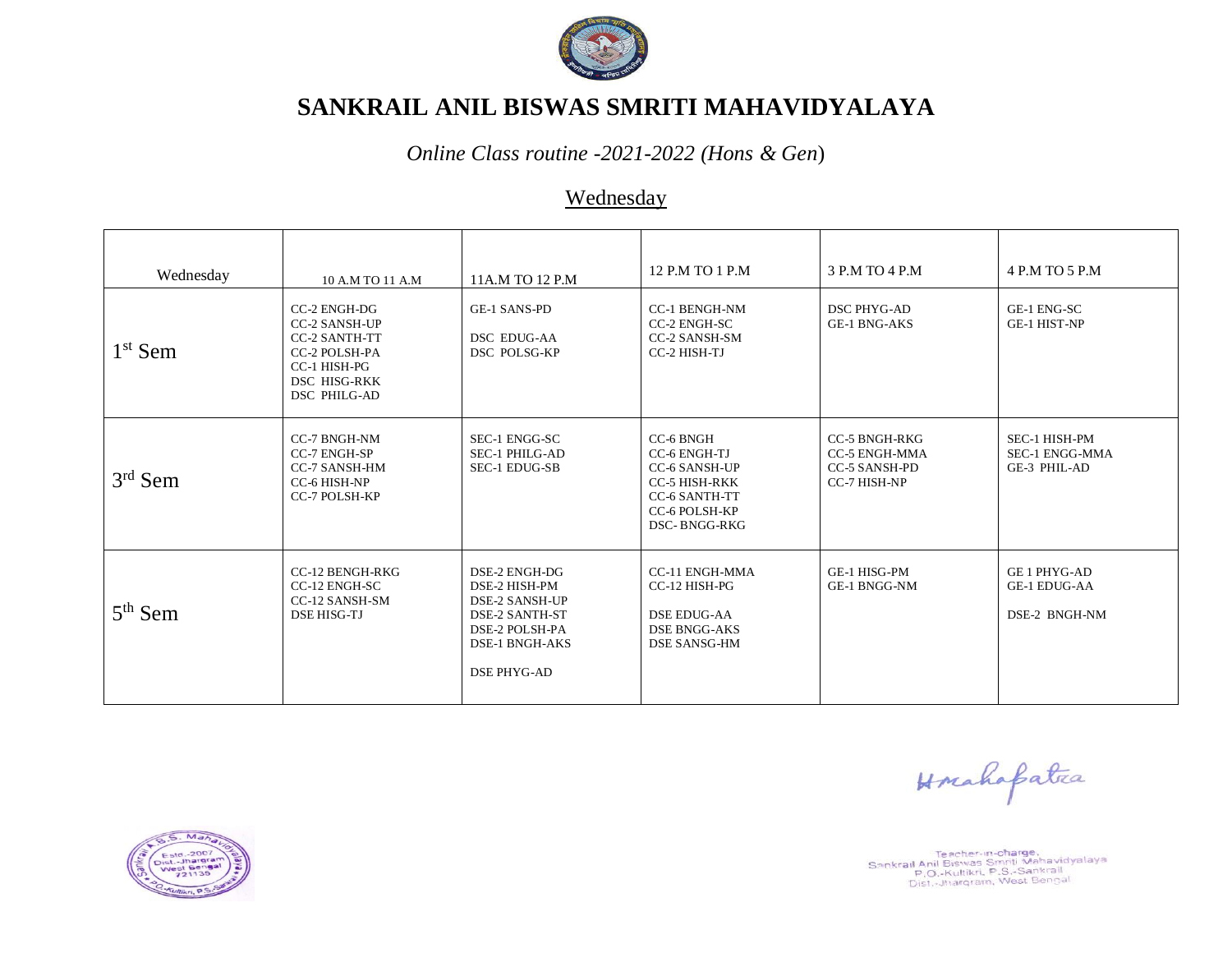

*Online Class routine -2021-2022 (Hons & Gen*)

### Wednesday

| Wednesday           | 10 A.M TO 11 A.M                                                                                                                            | 11A.M TO 12 P.M                                                                                                                                   | 12 P.M TO 1 P.M                                                                                                                                  | 3 P.M TO 4 P.M                                                                       | 4 P.M TO 5 P.M                                              |
|---------------------|---------------------------------------------------------------------------------------------------------------------------------------------|---------------------------------------------------------------------------------------------------------------------------------------------------|--------------------------------------------------------------------------------------------------------------------------------------------------|--------------------------------------------------------------------------------------|-------------------------------------------------------------|
| 1 <sup>st</sup> Sem | CC-2 ENGH-DG<br><b>CC-2 SANSH-UP</b><br><b>CC-2 SANTH-TT</b><br><b>CC-2 POLSH-PA</b><br>CC-1 HISH-PG<br><b>DSC HISG-RKK</b><br>DSC PHILG-AD | <b>GE-1 SANS-PD</b><br><b>DSC EDUG-AA</b><br>DSC POLSG-KP                                                                                         | <b>CC-1 BENGH-NM</b><br>CC-2 ENGH-SC<br>CC-2 SANSH-SM<br>CC-2 HISH-TJ                                                                            | <b>DSC PHYG-AD</b><br><b>GE-1 BNG-AKS</b>                                            | GE-1 ENG-SC<br><b>GE-1 HIST-NP</b>                          |
| $3rd$ Sem           | CC-7 BNGH-NM<br><b>CC-7 ENGH-SP</b><br><b>CC-7 SANSH-HM</b><br>CC-6 HISH-NP<br><b>CC-7 POLSH-KP</b>                                         | SEC-1 ENGG-SC<br><b>SEC-1 PHILG-AD</b><br>SEC-1 EDUG-SB                                                                                           | <b>CC-6 BNGH</b><br><b>CC-6 ENGH-TJ</b><br><b>CC-6 SANSH-UP</b><br><b>CC-5 HISH-RKK</b><br><b>CC-6 SANTH-TT</b><br>CC-6 POLSH-KP<br>DSC-BNGG-RKG | <b>CC-5 BNGH-RKG</b><br><b>CC-5 ENGH-MMA</b><br><b>CC-5 SANSH-PD</b><br>CC-7 HISH-NP | SEC-1 HISH-PM<br><b>SEC-1 ENGG-MMA</b><br>GE-3 PHIL-AD      |
| $5th$ Sem           | <b>CC-12 BENGH-RKG</b><br>CC-12 ENGH-SC<br>CC-12 SANSH-SM<br><b>DSE HISG-TJ</b>                                                             | DSE-2 ENGH-DG<br>DSE-2 HISH-PM<br><b>DSE-2 SANSH-UP</b><br><b>DSE-2 SANTH-ST</b><br>DSE-2 POLSH-PA<br><b>DSE-1 BNGH-AKS</b><br><b>DSE PHYG-AD</b> | CC-11 ENGH-MMA<br>CC-12 HISH-PG<br><b>DSE EDUG-AA</b><br><b>DSE BNGG-AKS</b><br>DSE SANSG-HM                                                     | <b>GE-1 HISG-PM</b><br><b>GE-1 BNGG-NM</b>                                           | <b>GE 1 PHYG-AD</b><br><b>GE-1 EDUG-AA</b><br>DSE-2 BNGH-NM |

Hrahafatea



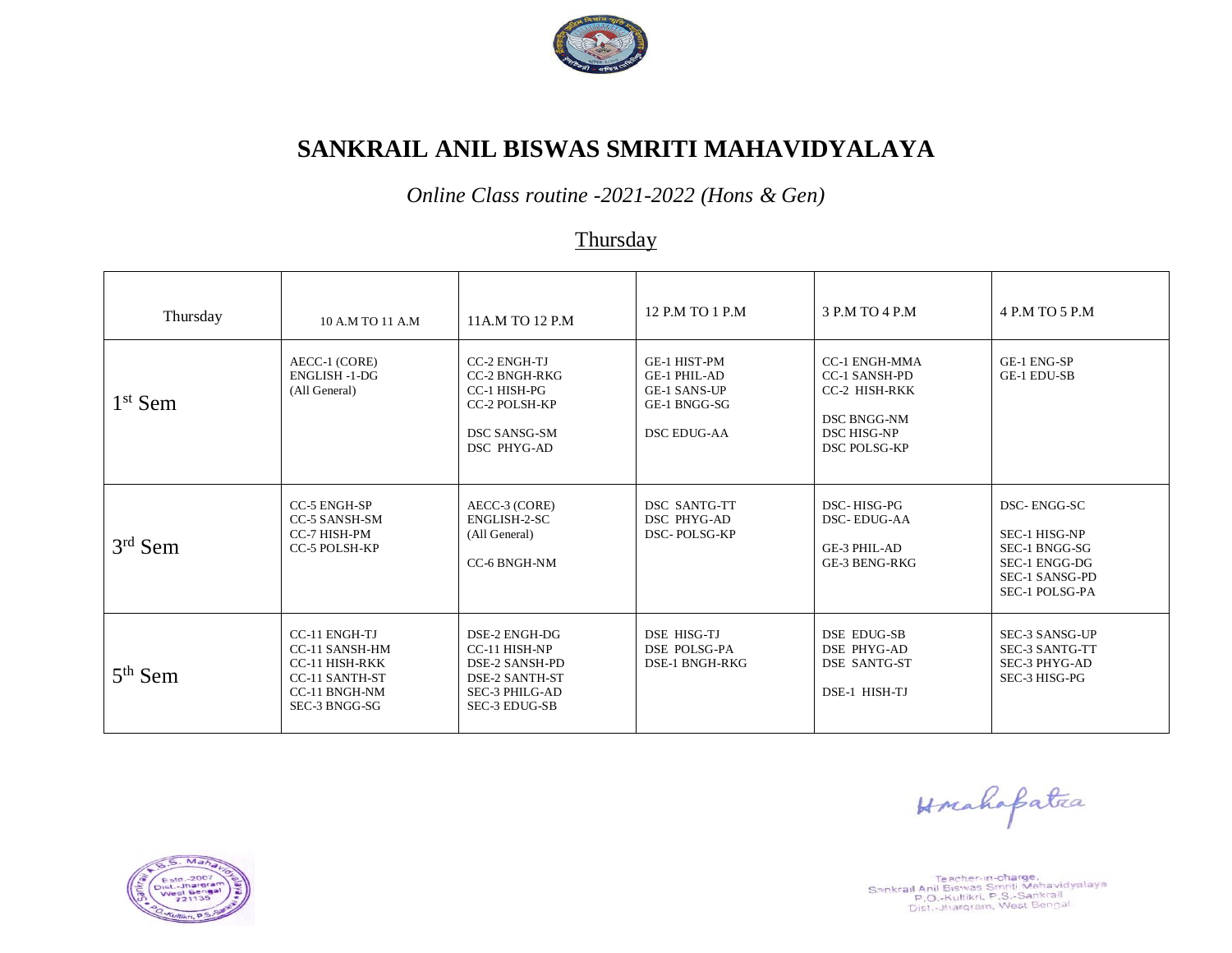

*Online Class routine -2021-2022 (Hons & Gen)*

#### **Thursday**

| Thursday  | 10 A.M TO 11 A.M                                                                                                           | 11A.M TO 12 P.M                                                                                                                   | 12 P.M TO 1 P.M                                                                                  | 3 P.M TO 4 P.M                                                                                                            | 4 P.M TO 5 P.M                                                                                            |
|-----------|----------------------------------------------------------------------------------------------------------------------------|-----------------------------------------------------------------------------------------------------------------------------------|--------------------------------------------------------------------------------------------------|---------------------------------------------------------------------------------------------------------------------------|-----------------------------------------------------------------------------------------------------------|
| $1st$ Sem | AECC-1 (CORE)<br><b>ENGLISH -1-DG</b><br>(All General)                                                                     | <b>CC-2 ENGH-TJ</b><br><b>CC-2 BNGH-RKG</b><br>CC-1 HISH-PG<br>CC-2 POLSH-KP<br><b>DSC SANSG-SM</b><br>DSC PHYG-AD                | GE-1 HIST-PM<br><b>GE-1 PHIL-AD</b><br><b>GE-1 SANS-UP</b><br>GE-1 BNGG-SG<br><b>DSC EDUG-AA</b> | <b>CC-1 ENGH-MMA</b><br><b>CC-1 SANSH-PD</b><br>CC-2 HISH-RKK<br><b>DSC BNGG-NM</b><br><b>DSC HISG-NP</b><br>DSC POLSG-KP | <b>GE-1 ENG-SP</b><br><b>GE-1 EDU-SB</b>                                                                  |
| $3rd$ Sem | <b>CC-5 ENGH-SP</b><br><b>CC-5 SANSH-SM</b><br>CC-7 HISH-PM<br><b>CC-5 POLSH-KP</b>                                        | AECC-3 (CORE)<br>ENGLISH-2-SC<br>(All General)<br>CC-6 BNGH-NM                                                                    | DSC SANTG-TT<br>DSC PHYG-AD<br>DSC-POLSG-KP                                                      | DSC-HISG-PG<br><b>DSC-EDUG-AA</b><br>GE-3 PHIL-AD<br><b>GE-3 BENG-RKG</b>                                                 | DSC-ENGG-SC<br>SEC-1 HISG-NP<br>SEC-1 BNGG-SG<br>SEC-1 ENGG-DG<br>SEC-1 SANSG-PD<br><b>SEC-1 POLSG-PA</b> |
| $5th$ Sem | <b>CC-11 ENGH-TJ</b><br>CC-11 SANSH-HM<br><b>CC-11 HISH-RKK</b><br><b>CC-11 SANTH-ST</b><br>CC-11 BNGH-NM<br>SEC-3 BNGG-SG | DSE-2 ENGH-DG<br>CC-11 HISH-NP<br><b>DSE-2 SANSH-PD</b><br><b>DSE-2 SANTH-ST</b><br><b>SEC-3 PHILG-AD</b><br><b>SEC-3 EDUG-SB</b> | DSE HISG-TJ<br><b>DSE POLSG-PA</b><br><b>DSE-1 BNGH-RKG</b>                                      | <b>DSE EDUG-SB</b><br><b>DSE PHYG-AD</b><br><b>DSE SANTG-ST</b><br>DSE-1 HISH-TJ                                          | SEC-3 SANSG-UP<br><b>SEC-3 SANTG-TT</b><br><b>SEC-3 PHYG-AD</b><br>SEC-3 HISG-PG                          |

Hrahapatra



Teacher-in-charge,<br>Sankrail Anil Biswas Smriti Mahavidyalaya<br>P.O.-Kultikri, P.S.-Sankrail<br>Dist.-Jhargram, West Bengal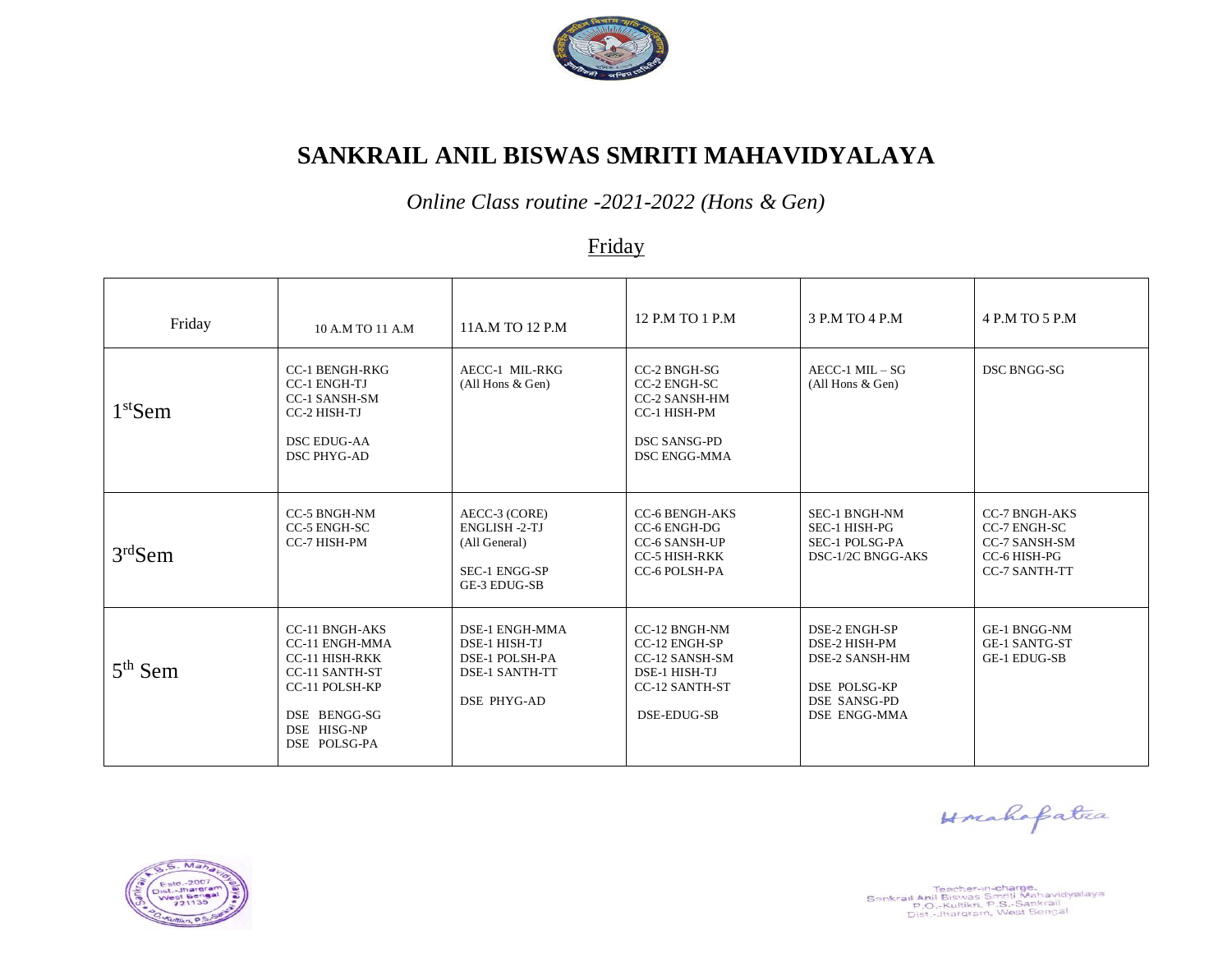

*Online Class routine -2021-2022 (Hons & Gen)*

### Friday

| Friday    | 10 A.M TO 11 A.M                                                                                                                                                  | 11A.M TO 12 P.M                                                                                                | 12 P.M TO 1 P.M                                                                                                         | 3 P.M TO 4 P.M                                                                                                        | 4 P.M TO 5 P.M                                                                                       |
|-----------|-------------------------------------------------------------------------------------------------------------------------------------------------------------------|----------------------------------------------------------------------------------------------------------------|-------------------------------------------------------------------------------------------------------------------------|-----------------------------------------------------------------------------------------------------------------------|------------------------------------------------------------------------------------------------------|
| $1st$ Sem | <b>CC-1 BENGH-RKG</b><br><b>CC-1 ENGH-TJ</b><br><b>CC-1 SANSH-SM</b><br>CC-2 HISH-TJ<br><b>DSC EDUG-AA</b><br><b>DSC PHYG-AD</b>                                  | AECC-1 MIL-RKG<br>(All Hons & Gen)                                                                             | CC-2 BNGH-SG<br>CC-2 ENGH-SC<br><b>CC-2 SANSH-HM</b><br>CC-1 HISH-PM<br><b>DSC SANSG-PD</b><br><b>DSC ENGG-MMA</b>      | $AECC-1$ $MIL-SG$<br>(All Hons & Gen)                                                                                 | DSC BNGG-SG                                                                                          |
| $3rd$ Sem | <b>CC-5 BNGH-NM</b><br>CC-5 ENGH-SC<br>CC-7 HISH-PM                                                                                                               | AECC-3 (CORE)<br><b>ENGLISH -2-TJ</b><br>(All General)<br>SEC-1 ENGG-SP<br>GE-3 EDUG-SB                        | <b>CC-6 BENGH-AKS</b><br>CC-6 ENGH-DG<br><b>CC-6 SANSH-UP</b><br><b>CC-5 HISH-RKK</b><br>CC-6 POLSH-PA                  | <b>SEC-1 BNGH-NM</b><br>SEC-1 HISH-PG<br>SEC-1 POLSG-PA<br>DSC-1/2C BNGG-AKS                                          | <b>CC-7 BNGH-AKS</b><br>CC-7 ENGH-SC<br><b>CC-7 SANSH-SM</b><br>CC-6 HISH-PG<br><b>CC-7 SANTH-TT</b> |
| $5th$ Sem | <b>CC-11 BNGH-AKS</b><br><b>CC-11 ENGH-MMA</b><br><b>CC-11 HISH-RKK</b><br><b>CC-11 SANTH-ST</b><br>CC-11 POLSH-KP<br>DSE BENGG-SG<br>DSE HISG-NP<br>DSE POLSG-PA | <b>DSE-1 ENGH-MMA</b><br>DSE-1 HISH-TJ<br><b>DSE-1 POLSH-PA</b><br><b>DSE-1 SANTH-TT</b><br><b>DSE PHYG-AD</b> | <b>CC-12 BNGH-NM</b><br>CC-12 ENGH-SP<br>CC-12 SANSH-SM<br>DSE-1 HISH-TJ<br><b>CC-12 SANTH-ST</b><br><b>DSE-EDUG-SB</b> | DSE-2 ENGH-SP<br>DSE-2 HISH-PM<br>DSE-2 SANSH-HM<br><b>DSE POLSG-KP</b><br><b>DSE SANSG-PD</b><br><b>DSE ENGG-MMA</b> | <b>GE-1 BNGG-NM</b><br><b>GE-1 SANTG-ST</b><br><b>GE-1 EDUG-SB</b>                                   |

Teacher-in-**charge,**<br>Sankrail Anii Biswas Smriti Mahanidyalaya<br>P.O.-Kultikri, P.S.-Sankrail<br>Dist,-Jharqram, West Bengal

Horahapatra